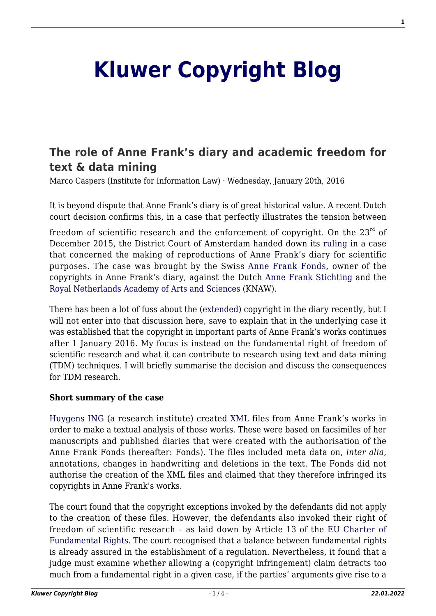# **[Kluwer Copyright Blog](http://copyrightblog.kluweriplaw.com/)**

# **[The role of Anne Frank's diary and academic freedom for](http://copyrightblog.kluweriplaw.com/2016/01/20/the-role-of-anne-franks-diary-and-academic-freedom-for-text-data-mining/) [text & data mining](http://copyrightblog.kluweriplaw.com/2016/01/20/the-role-of-anne-franks-diary-and-academic-freedom-for-text-data-mining/)**

Marco Caspers (Institute for Information Law) · Wednesday, January 20th, 2016

It is beyond dispute that Anne Frank's diary is of great historical value. A recent Dutch court decision confirms this, in a case that perfectly illustrates the tension between

freedom of scientific research and the enforcement of copyright. On the  $23^{rd}$  of December 2015, the District Court of Amsterdam handed down its [ruling](http://deeplink.rechtspraak.nl/uitspraak?id=ECLI:NL:RBAMS:2015:9312) in a case that concerned the making of reproductions of Anne Frank's diary for scientific purposes. The case was brought by the Swiss [Anne Frank Fonds](http://www.annefrank.ch/), owner of the copyrights in Anne Frank's diary, against the Dutch [Anne Frank Stichting](http://www.annefrank.org/en/) and the [Royal Netherlands Academy of Arts and Sciences](http://knaw.nl/en?set_language=en) (KNAW).

There has been a lot of fuss about the ([extended\)](http://www.nytimes.com/2015/11/14/books/anne-frank-has-a-co-as-diary-gains-co-author-in-legal-move.html?_r=0) copyright in the diary recently, but I will not enter into that discussion here, save to explain that in the underlying case it was established that the copyright in important parts of Anne Frank's works continues after 1 January 2016. My focus is instead on the fundamental right of freedom of scientific research and what it can contribute to research using text and data mining (TDM) techniques. I will briefly summarise the decision and discuss the consequences for TDM research.

#### **Short summary of the case**

[Huygens ING](https://www.huygens.knaw.nl/?lang=en) (a research institute) created [XML](https://en.wikipedia.org/wiki/XML) files from Anne Frank's works in order to make a textual analysis of those works. These were based on facsimiles of her manuscripts and published diaries that were created with the authorisation of the Anne Frank Fonds (hereafter: Fonds). The files included meta data on, *inter alia*, annotations, changes in handwriting and deletions in the text. The Fonds did not authorise the creation of the XML files and claimed that they therefore infringed its copyrights in Anne Frank's works.

The court found that the copyright exceptions invoked by the defendants did not apply to the creation of these files. However, the defendants also invoked their right of freedom of scientific research – as laid down by Article 13 of the [EU Charter of](http://www.europarl.europa.eu/charter/pdf/text_en.pdf) [Fundamental Rights](http://www.europarl.europa.eu/charter/pdf/text_en.pdf). The court recognised that a balance between fundamental rights is already assured in the establishment of a regulation. Nevertheless, it found that a judge must examine whether allowing a (copyright infringement) claim detracts too much from a fundamental right in a given case, if the parties' arguments give rise to a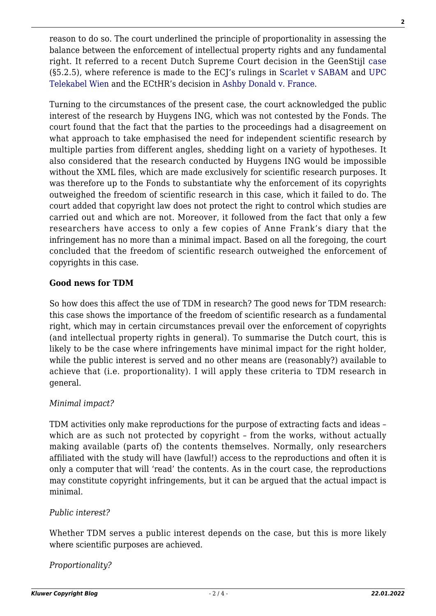reason to do so. The court underlined the principle of proportionality in assessing the balance between the enforcement of intellectual property rights and any fundamental right. It referred to a recent Dutch Supreme Court decision in the GeenStijl [case](http://deeplink.rechtspraak.nl/uitspraak?id=ECLI:NL:HR:2015:841) (§5.2.5), where reference is made to the ECJ's rulings in [Scarlet v SABAM](http://curia.europa.eu/juris/document/document.jsf;jsessionid=9ea7d2dc30dd7bd249d3a6c14968a45981c3754b5bb2.e34KaxiLc3qMb40Rch0SaxuSaxn0?text=&docid=115202&pageIndex=0&doclang=EN&mode=lst&dir=&occ=first&part=1&cid=551027) and [UPC](http://curia.europa.eu/juris/document/document.jsf?text=&docid=149924&pageIndex=0&doclang=EN&mode=lst&dir=&occ=first&part=1&cid=551178) [Telekabel Wien](http://curia.europa.eu/juris/document/document.jsf?text=&docid=149924&pageIndex=0&doclang=EN&mode=lst&dir=&occ=first&part=1&cid=551178) and the ECtHR's decision in [Ashby Donald v. France.](http://hudoc.echr.coe.int/eng?i=001-115845)

Turning to the circumstances of the present case, the court acknowledged the public interest of the research by Huygens ING, which was not contested by the Fonds. The court found that the fact that the parties to the proceedings had a disagreement on what approach to take emphasised the need for independent scientific research by multiple parties from different angles, shedding light on a variety of hypotheses. It also considered that the research conducted by Huygens ING would be impossible without the XML files, which are made exclusively for scientific research purposes. It was therefore up to the Fonds to substantiate why the enforcement of its copyrights outweighed the freedom of scientific research in this case, which it failed to do. The court added that copyright law does not protect the right to control which studies are carried out and which are not. Moreover, it followed from the fact that only a few researchers have access to only a few copies of Anne Frank's diary that the infringement has no more than a minimal impact. Based on all the foregoing, the court concluded that the freedom of scientific research outweighed the enforcement of copyrights in this case.

#### **Good news for TDM**

So how does this affect the use of TDM in research? The good news for TDM research: this case shows the importance of the freedom of scientific research as a fundamental right, which may in certain circumstances prevail over the enforcement of copyrights (and intellectual property rights in general). To summarise the Dutch court, this is likely to be the case where infringements have minimal impact for the right holder, while the public interest is served and no other means are (reasonably?) available to achieve that (i.e. proportionality). I will apply these criteria to TDM research in general.

#### *Minimal impact?*

TDM activities only make reproductions for the purpose of extracting facts and ideas – which are as such not protected by copyright - from the works, without actually making available (parts of) the contents themselves. Normally, only researchers affiliated with the study will have (lawful!) access to the reproductions and often it is only a computer that will 'read' the contents. As in the court case, the reproductions may constitute copyright infringements, but it can be argued that the actual impact is minimal.

#### *Public interest?*

Whether TDM serves a public interest depends on the case, but this is more likely where scientific purposes are achieved.

*Proportionality?*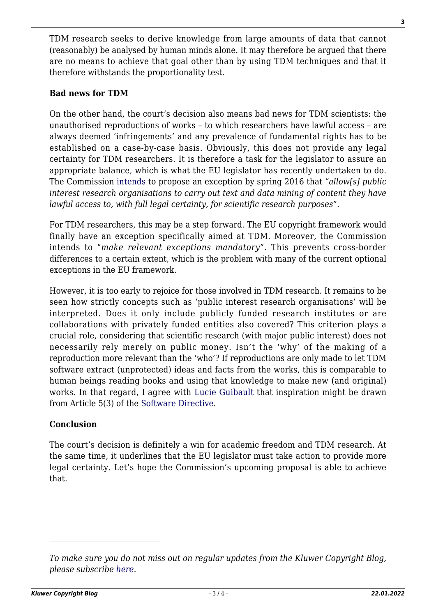TDM research seeks to derive knowledge from large amounts of data that cannot (reasonably) be analysed by human minds alone. It may therefore be argued that there are no means to achieve that goal other than by using TDM techniques and that it therefore withstands the proportionality test.

#### **Bad news for TDM**

On the other hand, the court's decision also means bad news for TDM scientists: the unauthorised reproductions of works – to which researchers have lawful access – are always deemed 'infringements' and any prevalence of fundamental rights has to be established on a case-by-case basis. Obviously, this does not provide any legal certainty for TDM researchers. It is therefore a task for the legislator to assure an appropriate balance, which is what the EU legislator has recently undertaken to do. The Commission [intends](http://ec.europa.eu/digital-agenda/en/news/towards-modern-more-european-copyright-framework-commission-takes-first-steps-and-sets-out-its) to propose an exception by spring 2016 that "*allow[s] public interest research organisations to carry out text and data mining of content they have lawful access to, with full legal certainty, for scientific research purposes*".

For TDM researchers, this may be a step forward. The EU copyright framework would finally have an exception specifically aimed at TDM. Moreover, the Commission intends to "*make relevant exceptions mandatory*". This prevents cross-border differences to a certain extent, which is the problem with many of the current optional exceptions in the EU framework.

However, it is too early to rejoice for those involved in TDM research. It remains to be seen how strictly concepts such as 'public interest research organisations' will be interpreted. Does it only include publicly funded research institutes or are collaborations with privately funded entities also covered? This criterion plays a crucial role, considering that scientific research (with major public interest) does not necessarily rely merely on public money. Isn't the 'why' of the making of a reproduction more relevant than the 'who'? If reproductions are only made to let TDM software extract (unprotected) ideas and facts from the works, this is comparable to human beings reading books and using that knowledge to make new (and original) works. In that regard, I agree with [Lucie Guibault](http://kluwercopyrightblog.com/2015/12/06/our-blogpoll-on-a-text-data-mining-exception-the-results-are-in/) that inspiration might be drawn from Article 5(3) of the [Software Directive.](http://eur-lex.europa.eu/LexUriServ/LexUriServ.do?uri=OJ:L:2009:111:0016:0022:EN:PDF)

## **Conclusion**

The court's decision is definitely a win for academic freedom and TDM research. At the same time, it underlines that the EU legislator must take action to provide more legal certainty. Let's hope the Commission's upcoming proposal is able to achieve that.

*To make sure you do not miss out on regular updates from the Kluwer Copyright Blog, please subscribe [here.](http://copyrightblog.kluweriplaw.com/newsletter)*